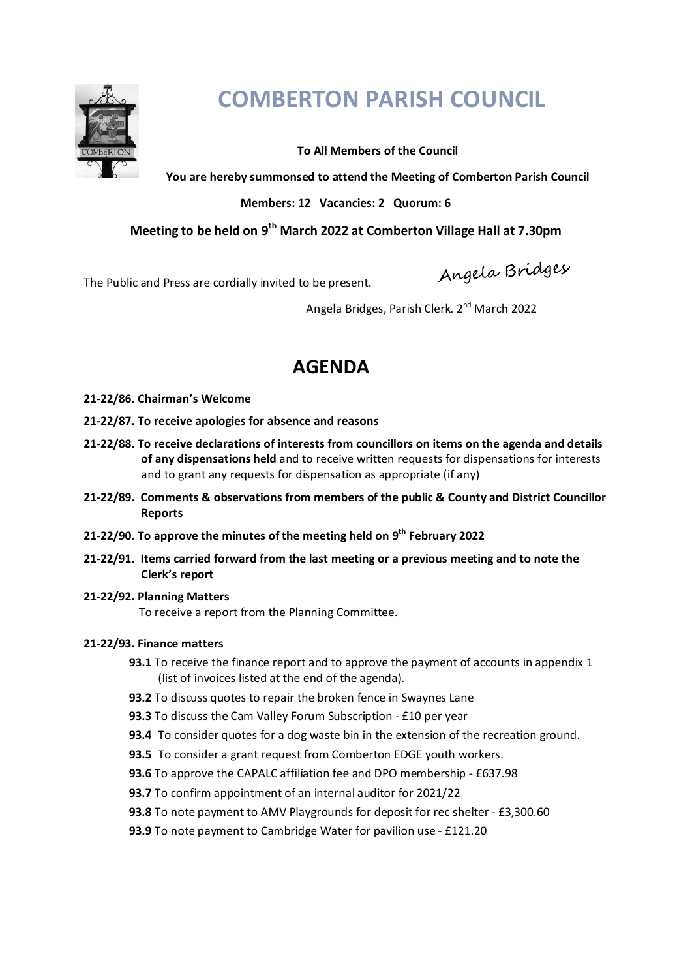

# **COMBERTON PARISH COUNCIL**

# **To All Members of the Council**

**You are hereby summonsed to attend the Meeting of Comberton Parish Council** 

# **Members: 12 Vacancies: 2 Quorum: 6**

# **Meeting to be held on 9th March 2022 at Comberton Village Hall at 7.30pm**

The Public and Press are cordially invited to be present.

Angela Bridges

Angela Bridges, Parish Clerk. 2nd March 2022

# **AGENDA**

- **21-22/86. Chairman's Welcome**
- **21-22/87. To receive apologies for absence and reasons**
- **21-22/88. To receive declarations of interests from councillors on items on the agenda and details of any dispensations held** and to receive written requests for dispensations for interests and to grant any requests for dispensation as appropriate (if any)
- **21-22/89. Comments & observations from members of the public & County and District Councillor Reports**
- **21-22/90. To approve the minutes of the meeting held on 9th February 2022**
- **21-22/91. Items carried forward from the last meeting or a previous meeting and to note the Clerk's report**

## **21-22/92. Planning Matters**

To receive a report from the Planning Committee.

## **21-22/93. Finance matters**

- **93.1** To receive the finance report and to approve the payment of accounts in appendix 1 (list of invoices listed at the end of the agenda).
- **93.2** To discuss quotes to repair the broken fence in Swaynes Lane
- **93.3** To discuss the Cam Valley Forum Subscription £10 per year
- **93.4** To consider quotes for a dog waste bin in the extension of the recreation ground.
- **93.5** To consider a grant request from Comberton EDGE youth workers.
- **93.6** To approve the CAPALC affiliation fee and DPO membership £637.98
- **93.7** To confirm appointment of an internal auditor for 2021/22
- **93.8** To note payment to AMV Playgrounds for deposit for rec shelter £3,300.60
- **93.9** To note payment to Cambridge Water for pavilion use £121.20